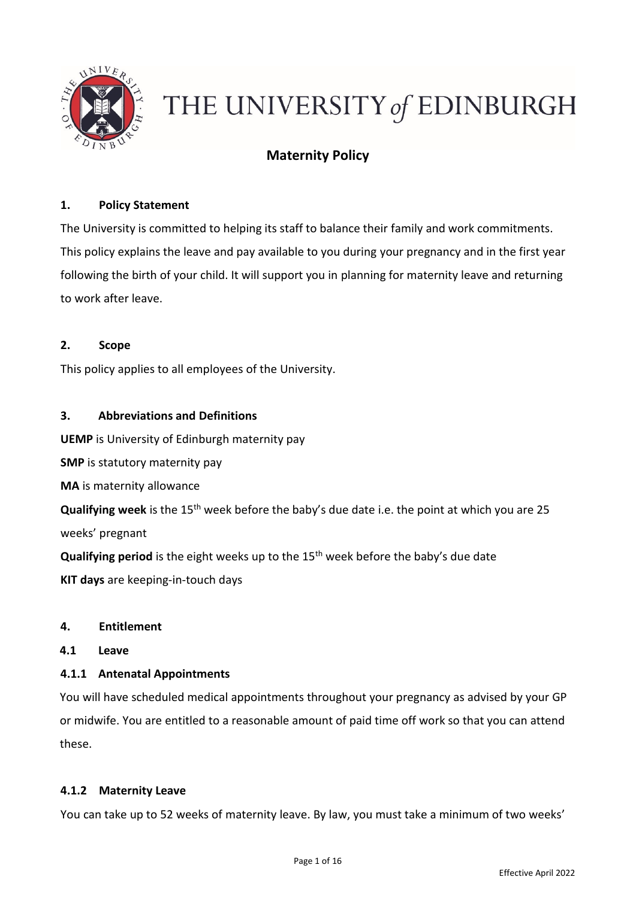

# THE UNIVERSITY of EDINBURGH

# **Maternity Policy**

# **1. Policy Statement**

The University is committed to helping its staff to balance their family and work commitments. This policy explains the leave and pay available to you during your pregnancy and in the first year following the birth of your child. It will support you in planning for maternity leave and returning to work after leave.

### **2. Scope**

This policy applies to all employees of the University.

### **3. Abbreviations and Definitions**

**UEMP** is University of Edinburgh maternity pay

**SMP** is statutory maternity pay

**MA** is maternity allowance

**Qualifying week** is the 15<sup>th</sup> week before the baby's due date i.e. the point at which you are 25 weeks' pregnant

**Qualifying period** is the eight weeks up to the 15<sup>th</sup> week before the baby's due date **KIT days** are keeping-in-touch days

#### **4. Entitlement**

#### **4.1 Leave**

#### **4.1.1 Antenatal Appointments**

You will have scheduled medical appointments throughout your pregnancy as advised by your GP or midwife. You are entitled to a reasonable amount of paid time off work so that you can attend these.

#### **4.1.2 Maternity Leave**

You can take up to 52 weeks of maternity leave. By law, you must take a minimum of two weeks'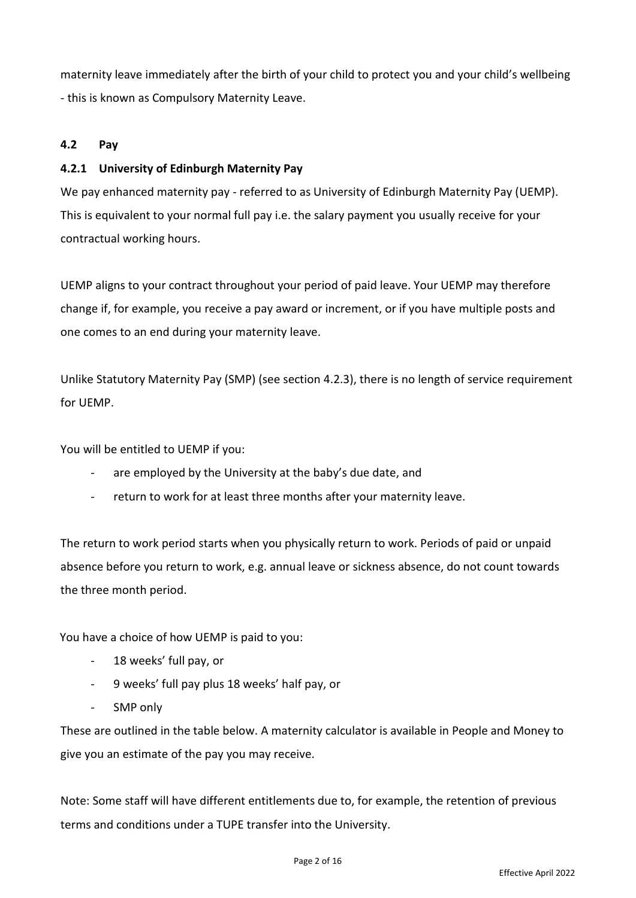maternity leave immediately after the birth of your child to protect you and your child's wellbeing - this is known as Compulsory Maternity Leave.

## **4.2 Pay**

## **4.2.1 University of Edinburgh Maternity Pay**

We pay enhanced maternity pay - referred to as University of Edinburgh Maternity Pay (UEMP). This is equivalent to your normal full pay i.e. the salary payment you usually receive for your contractual working hours.

UEMP aligns to your contract throughout your period of paid leave. Your UEMP may therefore change if, for example, you receive a pay award or increment, or if you have multiple posts and one comes to an end during your maternity leave.

Unlike Statutory Maternity Pay (SMP) (see section 4.2.3), there is no length of service requirement for UEMP.

You will be entitled to UEMP if you:

- are employed by the University at the baby's due date, and
- return to work for at least three months after your maternity leave.

The return to work period starts when you physically return to work. Periods of paid or unpaid absence before you return to work, e.g. annual leave or sickness absence, do not count towards the three month period.

You have a choice of how UEMP is paid to you:

- 18 weeks' full pay, or
- 9 weeks' full pay plus 18 weeks' half pay, or
- SMP only

These are outlined in the table below. A maternity calculator is available in People and Money to give you an estimate of the pay you may receive.

Note: Some staff will have different entitlements due to, for example, the retention of previous terms and conditions under a TUPE transfer into the University.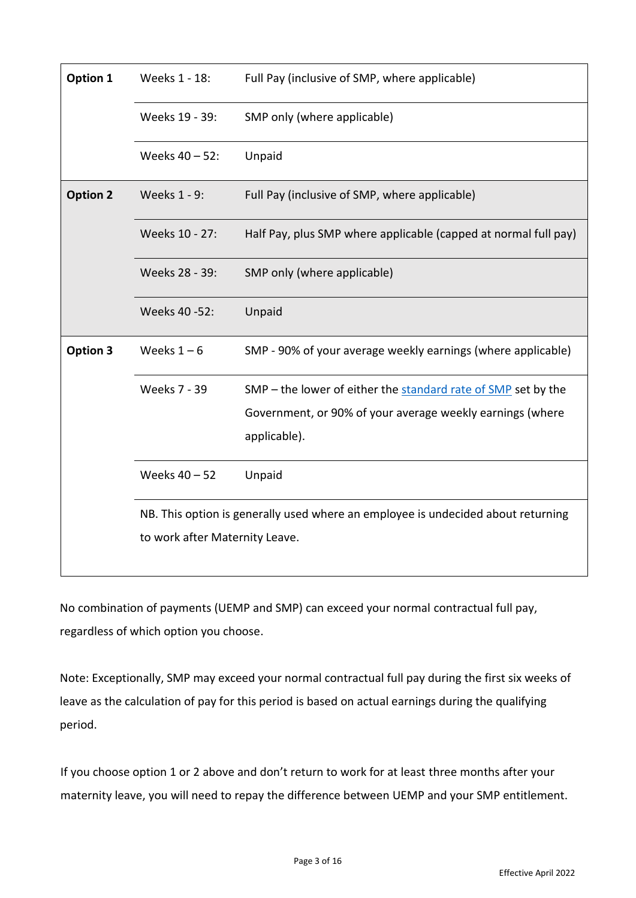| Option 1        | Weeks 1 - 18:                                                                    | Full Pay (inclusive of SMP, where applicable)                   |  |  |  |  |
|-----------------|----------------------------------------------------------------------------------|-----------------------------------------------------------------|--|--|--|--|
|                 | Weeks 19 - 39:                                                                   | SMP only (where applicable)                                     |  |  |  |  |
|                 | Weeks 40 - 52:                                                                   | Unpaid                                                          |  |  |  |  |
| <b>Option 2</b> | Weeks 1 - 9:                                                                     | Full Pay (inclusive of SMP, where applicable)                   |  |  |  |  |
|                 | Weeks 10 - 27:                                                                   | Half Pay, plus SMP where applicable (capped at normal full pay) |  |  |  |  |
|                 | Weeks 28 - 39:                                                                   | SMP only (where applicable)                                     |  |  |  |  |
|                 | Weeks 40 -52:                                                                    | Unpaid                                                          |  |  |  |  |
| Option 3        | Weeks $1-6$                                                                      | SMP - 90% of your average weekly earnings (where applicable)    |  |  |  |  |
|                 | <b>Weeks 7 - 39</b>                                                              | SMP - the lower of either the standard rate of SMP set by the   |  |  |  |  |
|                 |                                                                                  | Government, or 90% of your average weekly earnings (where       |  |  |  |  |
|                 |                                                                                  | applicable).                                                    |  |  |  |  |
|                 | Weeks 40 - 52                                                                    | Unpaid                                                          |  |  |  |  |
|                 | NB. This option is generally used where an employee is undecided about returning |                                                                 |  |  |  |  |
|                 | to work after Maternity Leave.                                                   |                                                                 |  |  |  |  |

No combination of payments (UEMP and SMP) can exceed your normal contractual full pay, regardless of which option you choose.

Note: Exceptionally, SMP may exceed your normal contractual full pay during the first six weeks of leave as the calculation of pay for this period is based on actual earnings during the qualifying period.

If you choose option 1 or 2 above and don't return to work for at least three months after your maternity leave, you will need to repay the difference between UEMP and your SMP entitlement.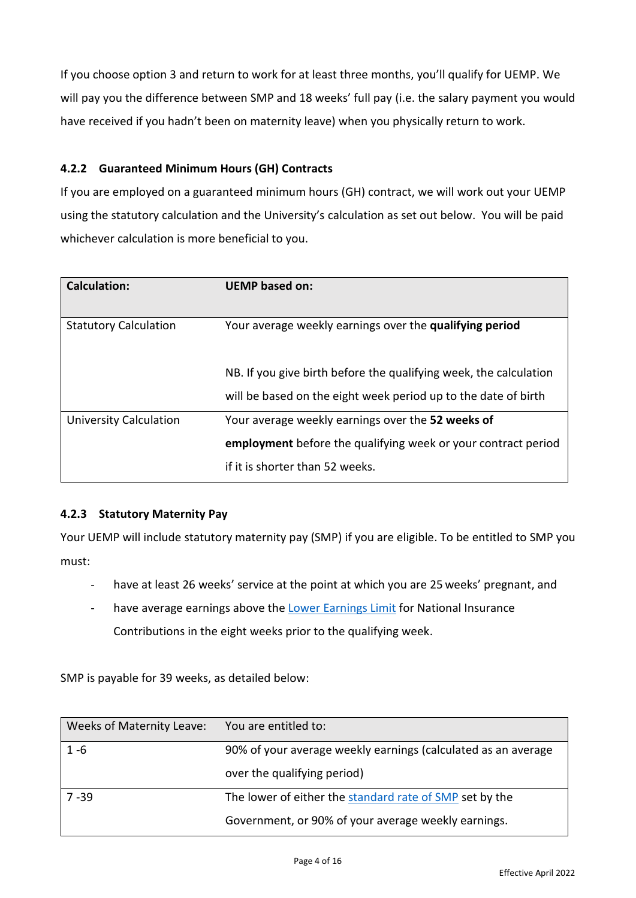If you choose option 3 and return to work for at least three months, you'll qualify for UEMP. We will pay you the difference between SMP and 18 weeks' full pay (i.e. the salary payment you would have received if you hadn't been on maternity leave) when you physically return to work.

# **4.2.2 Guaranteed Minimum Hours (GH) Contracts**

If you are employed on a guaranteed minimum hours (GH) contract, we will work out your UEMP using the statutory calculation and the University's calculation as set out below. You will be paid whichever calculation is more beneficial to you.

| <b>Calculation:</b>           | <b>UEMP</b> based on:                                             |
|-------------------------------|-------------------------------------------------------------------|
| <b>Statutory Calculation</b>  | Your average weekly earnings over the qualifying period           |
|                               | NB. If you give birth before the qualifying week, the calculation |
|                               | will be based on the eight week period up to the date of birth    |
| <b>University Calculation</b> | Your average weekly earnings over the 52 weeks of                 |
|                               | employment before the qualifying week or your contract period     |
|                               | if it is shorter than 52 weeks.                                   |

# **4.2.3 Statutory Maternity Pay**

Your UEMP will include statutory maternity pay (SMP) if you are eligible. To be entitled to SMP you must:

- have at least 26 weeks' service at the point at which you are 25 weeks' pregnant, and
- have average earnings above th[e Lower Earnings Limit](https://www.gov.uk/government/publications/rates-and-allowances-national-insurance-contributions/rates-and-allowances-national-insurance-contributions) for National Insurance Contributions in the eight weeks prior to the qualifying week.

SMP is payable for 39 weeks, as detailed below:

| Weeks of Maternity Leave: | You are entitled to:                                          |
|---------------------------|---------------------------------------------------------------|
| $1 - 6$                   | 90% of your average weekly earnings (calculated as an average |
|                           | over the qualifying period)                                   |
| $7 - 39$                  | The lower of either the standard rate of SMP set by the       |
|                           | Government, or 90% of your average weekly earnings.           |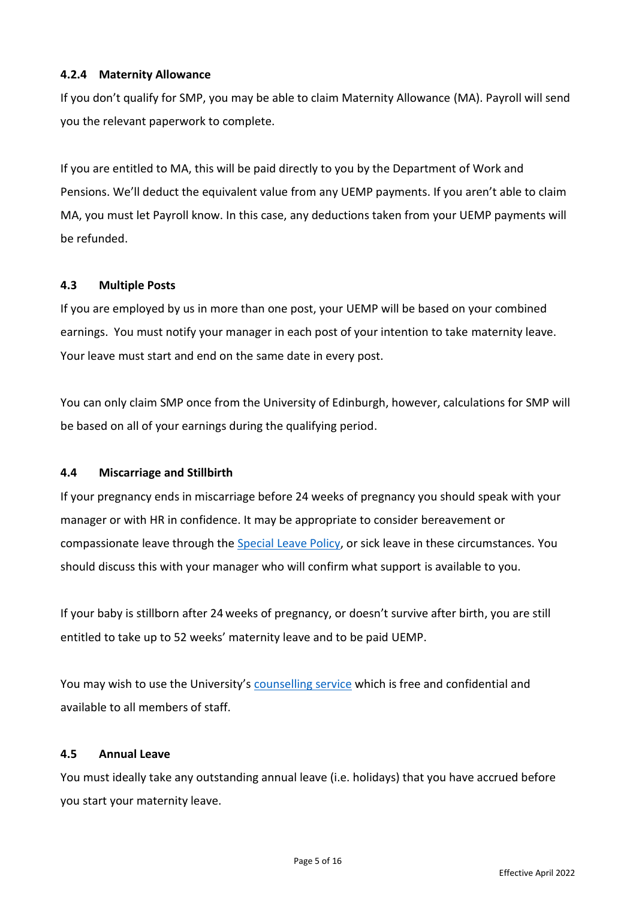# **4.2.4 Maternity Allowance**

If you don't qualify for SMP, you may be able to claim Maternity Allowance (MA). Payroll will send you the relevant paperwork to complete.

If you are entitled to MA, this will be paid directly to you by the Department of Work and Pensions. We'll deduct the equivalent value from any UEMP payments. If you aren't able to claim MA, you must let Payroll know. In this case, any deductions taken from your UEMP payments will be refunded.

### **4.3 Multiple Posts**

If you are employed by us in more than one post, your UEMP will be based on your combined earnings. You must notify your manager in each post of your intention to take maternity leave. Your leave must start and end on the same date in every post.

You can only claim SMP once from the University of Edinburgh, however, calculations for SMP will be based on all of your earnings during the qualifying period.

#### **4.4 Miscarriage and Stillbirth**

If your pregnancy ends in miscarriage before 24 weeks of pregnancy you should speak with your manager or with HR in confidence. It may be appropriate to consider bereavement or compassionate leave through the [Special Leave Policy,](https://www.ed.ac.uk/human-resources/policies-guidance/a-to-z-of-policies-and-guidancehttps:/www.ed.ac.uk/human-resources/policies-guidance/a-to-z-of-policies-and-guidance) or sick leave in these circumstances. You should discuss this with your manager who will confirm what support is available to you.

If your baby is stillborn after 24 weeks of pregnancy, or doesn't survive after birth, you are still entitled to take up to 52 weeks' maternity leave and to be paid UEMP.

You may wish to use the University's [counselling service](https://www.ed.ac.uk/counselling-services/staff) which is free and confidential and available to all members of staff.

#### **4.5 Annual Leave**

You must ideally take any outstanding annual leave (i.e. holidays) that you have accrued before you start your maternity leave.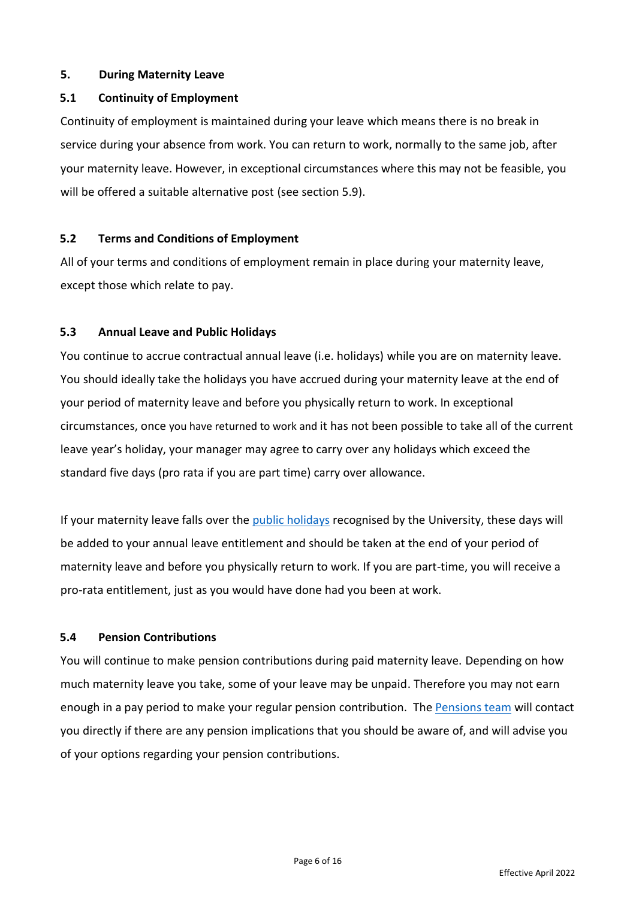#### **5. During Maternity Leave**

## **5.1 Continuity of Employment**

Continuity of employment is maintained during your leave which means there is no break in service during your absence from work. You can return to work, normally to the same job, after your maternity leave. However, in exceptional circumstances where this may not be feasible, you will be offered a suitable alternative post (see section 5.9).

### **5.2 Terms and Conditions of Employment**

All of your terms and conditions of employment remain in place during your maternity leave, except those which relate to pay.

# **5.3 Annual Leave and Public Holidays**

You continue to accrue contractual annual leave (i.e. holidays) while you are on maternity leave. You should ideally take the holidays you have accrued during your maternity leave at the end of your period of maternity leave and before you physically return to work. In exceptional circumstances, once you have returned to work and it has not been possible to take all of the current leave year's holiday, your manager may agree to carry over any holidays which exceed the standard five days (pro rata if you are part time) carry over allowance.

If your maternity leave falls over the [public holidays](https://www.ed.ac.uk/human-resources/staff-benefits/annual-leave) recognised by the University, these days will be added to your annual leave entitlement and should be taken at the end of your period of maternity leave and before you physically return to work. If you are part-time, you will receive a pro-rata entitlement, just as you would have done had you been at work.

# **5.4 Pension Contributions**

You will continue to make pension contributions during paid maternity leave. Depending on how much maternity leave you take, some of your leave may be unpaid. Therefore you may not earn enough in a pay period to make your regular pension contribution. The [Pensions team](mailto:pensions@ed.ac.uk) will contact you directly if there are any pension implications that you should be aware of, and will advise you of your options regarding your pension contributions.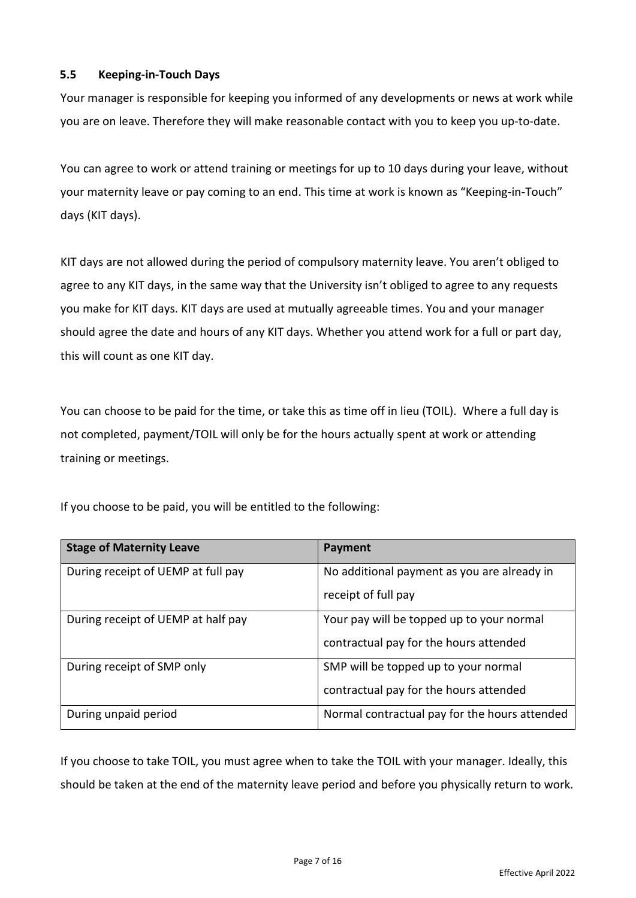# **5.5 Keeping-in-Touch Days**

Your manager is responsible for keeping you informed of any developments or news at work while you are on leave. Therefore they will make reasonable contact with you to keep you up-to-date.

You can agree to work or attend training or meetings for up to 10 days during your leave, without your maternity leave or pay coming to an end. This time at work is known as "Keeping-in-Touch" days (KIT days).

KIT days are not allowed during the period of compulsory maternity leave. You aren't obliged to agree to any KIT days, in the same way that the University isn't obliged to agree to any requests you make for KIT days. KIT days are used at mutually agreeable times. You and your manager should agree the date and hours of any KIT days. Whether you attend work for a full or part day, this will count as one KIT day.

You can choose to be paid for the time, or take this as time off in lieu (TOIL). Where a full day is not completed, payment/TOIL will only be for the hours actually spent at work or attending training or meetings.

| <b>Stage of Maternity Leave</b>    | <b>Payment</b>                                |  |  |
|------------------------------------|-----------------------------------------------|--|--|
| During receipt of UEMP at full pay | No additional payment as you are already in   |  |  |
|                                    | receipt of full pay                           |  |  |
| During receipt of UEMP at half pay | Your pay will be topped up to your normal     |  |  |
|                                    | contractual pay for the hours attended        |  |  |
| During receipt of SMP only         | SMP will be topped up to your normal          |  |  |
|                                    | contractual pay for the hours attended        |  |  |
| During unpaid period               | Normal contractual pay for the hours attended |  |  |

If you choose to be paid, you will be entitled to the following:

If you choose to take TOIL, you must agree when to take the TOIL with your manager. Ideally, this should be taken at the end of the maternity leave period and before you physically return to work.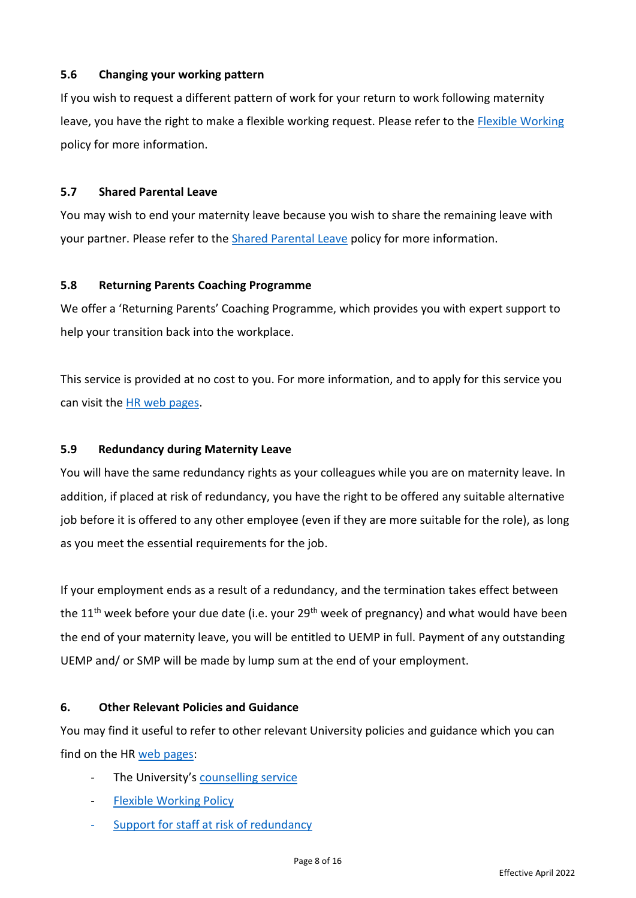# **5.6 Changing your working pattern**

If you wish to request a different pattern of work for your return to work following maternity leave, you have the right to make a flexible working request. Please refer to the [Flexible Working](https://www.ed.ac.uk/human-resources/policies-guidance/a-to-z-of-policies-and-guidance) policy for more information.

## **5.7 Shared Parental Leave**

You may wish to end your maternity leave because you wish to share the remaining leave with your partner. Please refer to the [Shared Parental Leave](https://www.ed.ac.uk/human-resources/policies-guidance/a-to-z-of-policies-and-guidance) policy for more information.

# **5.8 Returning Parents Coaching Programme**

We offer a 'Returning Parents' Coaching Programme, which provides you with expert support to help your transition back into the workplace.

This service is provided at no cost to you. For more information, and to apply for this service you can visit the HR web [pages.](https://www.edweb.ed.ac.uk/human-resources/policies-guidance/leave-absence/returning-parents-coaching)

# **5.9 Redundancy during Maternity Leave**

You will have the same redundancy rights as your colleagues while you are on maternity leave. In addition, if placed at risk of redundancy, you have the right to be offered any suitable alternative job before it is offered to any other employee (even if they are more suitable for the role), as long as you meet the essential requirements for the job.

If your employment ends as a result of a redundancy, and the termination takes effect between the 11<sup>th</sup> week before your due date (i.e. your 29<sup>th</sup> week of pregnancy) and what would have been the end of your maternity leave, you will be entitled to UEMP in full. Payment of any outstanding UEMP and/ or SMP will be made by lump sum at the end of your employment.

# **6. Other Relevant Policies and Guidance**

You may find it useful to refer to other relevant University policies and guidance which you can find on the HR [web pages:](https://www.ed.ac.uk/human-resources/policies-guidance/a-to-z-of-policies-and-guidancehttps:/www.ed.ac.uk/human-resources/policies-guidance/a-to-z-of-policies-and-guidance)

- The University's [counselling service](https://www.ed.ac.uk/counselling-services/staff)
- **[Flexible Working Policy](https://www.ed.ac.uk/human-resources/policies-guidance/a-to-z-of-policies-and-guidance)**
- [Support for staff at risk of redundancy](https://www.edweb.ed.ac.uk/human-resources/policies-guidance/redundancy-careers)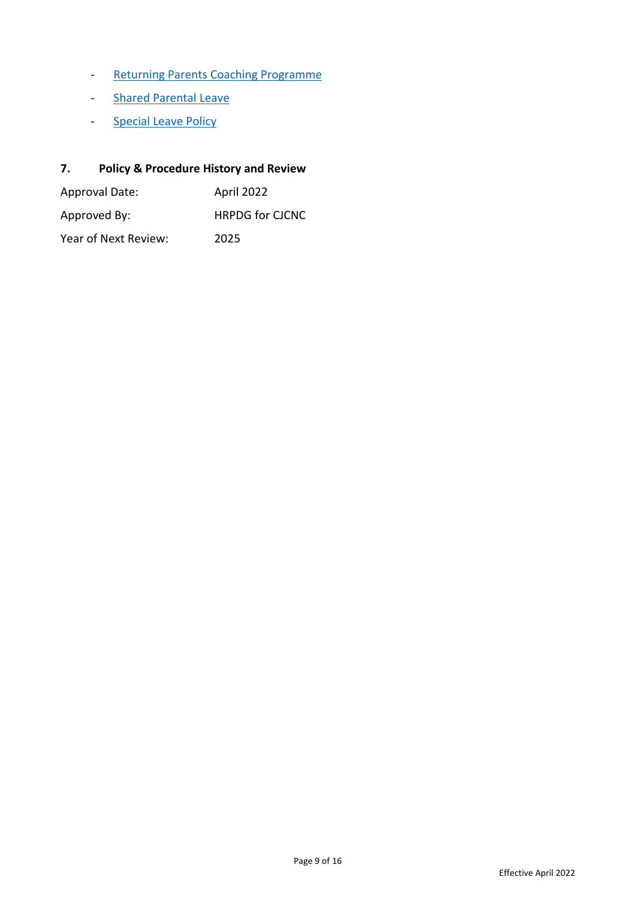- [Returning Parents Coaching Programme](https://www.edweb.ed.ac.uk/human-resources/policies-guidance/leave-absence/returning-parents-coaching)
- [Shared Parental Leave](https://www.ed.ac.uk/human-resources/policies-guidance/a-to-z-of-policies-and-guidance)
- [Special Leave](https://www.ed.ac.uk/human-resources/policies-guidance/a-to-z-of-policies-and-guidance) Policy

# **7. Policy & Procedure History and Review**

| Approval Date:       | April 2022             |  |  |
|----------------------|------------------------|--|--|
| Approved By:         | <b>HRPDG for CJCNC</b> |  |  |
| Year of Next Review: | 2025                   |  |  |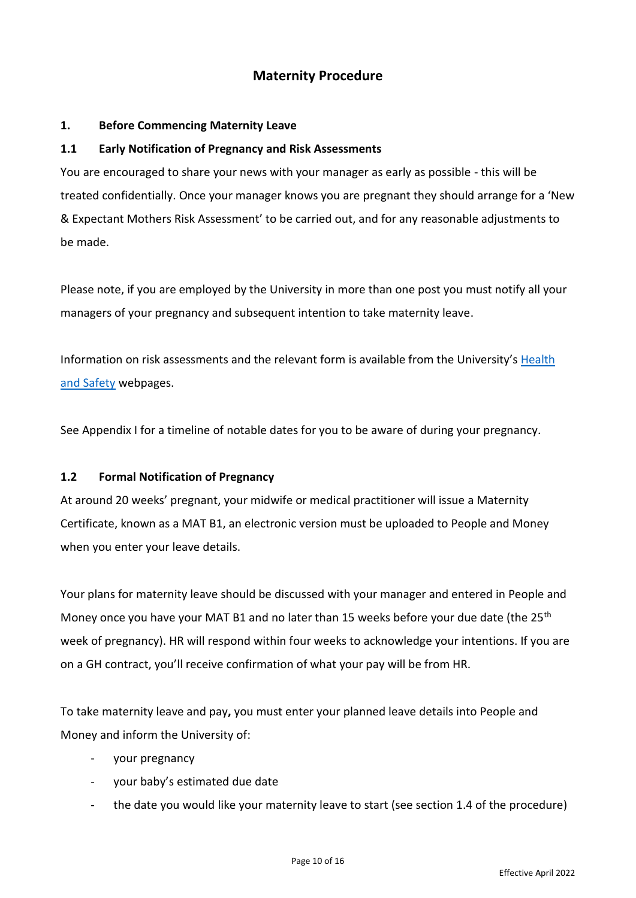# **Maternity Procedure**

### **1. Before Commencing Maternity Leave**

### **1.1 Early Notification of Pregnancy and Risk Assessments**

You are encouraged to share your news with your manager as early as possible - this will be treated confidentially. Once your manager knows you are pregnant they should arrange for a 'New & Expectant Mothers Risk Assessment' to be carried out, and for any reasonable adjustments to be made.

Please note, if you are employed by the University in more than one post you must notify all your managers of your pregnancy and subsequent intention to take maternity leave.

Information on risk assessments and the relevant form is available from the University's [Health](https://www.ed.ac.uk/health-safety/occupational-health/staff/general-health/pregnancy-staff)  [and Safety](https://www.ed.ac.uk/health-safety/occupational-health/staff/general-health/pregnancy-staff) webpages.

See Appendix I for a timeline of notable dates for you to be aware of during your pregnancy.

#### **1.2 Formal Notification of Pregnancy**

At around 20 weeks' pregnant, your midwife or medical practitioner will issue a Maternity Certificate, known as a MAT B1, an electronic version must be uploaded to People and Money when you enter your leave details.

Your plans for maternity leave should be discussed with your manager and entered in People and Money once you have your MAT B1 and no later than 15 weeks before your due date (the 25<sup>th</sup>) week of pregnancy). HR will respond within four weeks to acknowledge your intentions. If you are on a GH contract, you'll receive confirmation of what your pay will be from HR.

To take maternity leave and pay**,** you must enter your planned leave details into People and Money and inform the University of:

- your pregnancy
- your baby's estimated due date
- the date you would like your maternity leave to start (see section 1.4 of the procedure)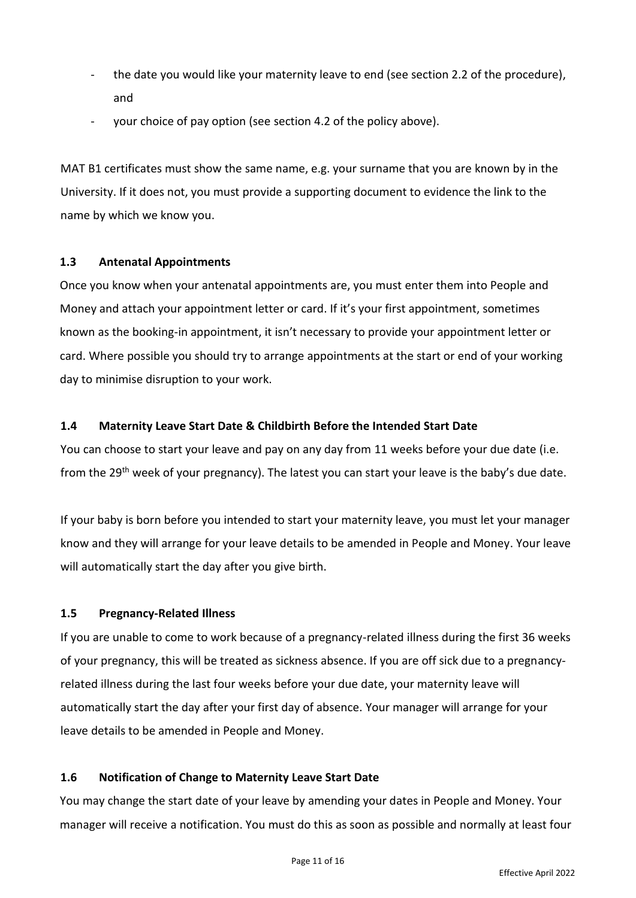- the date you would like your maternity leave to end (see section 2.2 of the procedure), and
- your choice of pay option (see section 4.2 of the policy above).

MAT B1 certificates must show the same name, e.g. your surname that you are known by in the University. If it does not, you must provide a supporting document to evidence the link to the name by which we know you.

# **1.3 Antenatal Appointments**

Once you know when your antenatal appointments are, you must enter them into People and Money and attach your appointment letter or card. If it's your first appointment, sometimes known as the booking-in appointment, it isn't necessary to provide your appointment letter or card. Where possible you should try to arrange appointments at the start or end of your working day to minimise disruption to your work.

# **1.4 Maternity Leave Start Date & Childbirth Before the Intended Start Date**

You can choose to start your leave and pay on any day from 11 weeks before your due date (i.e. from the 29<sup>th</sup> week of your pregnancy). The latest you can start your leave is the baby's due date.

If your baby is born before you intended to start your maternity leave, you must let your manager know and they will arrange for your leave details to be amended in People and Money. Your leave will automatically start the day after you give birth.

# **1.5 Pregnancy-Related Illness**

If you are unable to come to work because of a pregnancy-related illness during the first 36 weeks of your pregnancy, this will be treated as sickness absence. If you are off sick due to a pregnancyrelated illness during the last four weeks before your due date, your maternity leave will automatically start the day after your first day of absence. Your manager will arrange for your leave details to be amended in People and Money.

# **1.6 Notification of Change to Maternity Leave Start Date**

You may change the start date of your leave by amending your dates in People and Money. Your manager will receive a notification. You must do this as soon as possible and normally at least four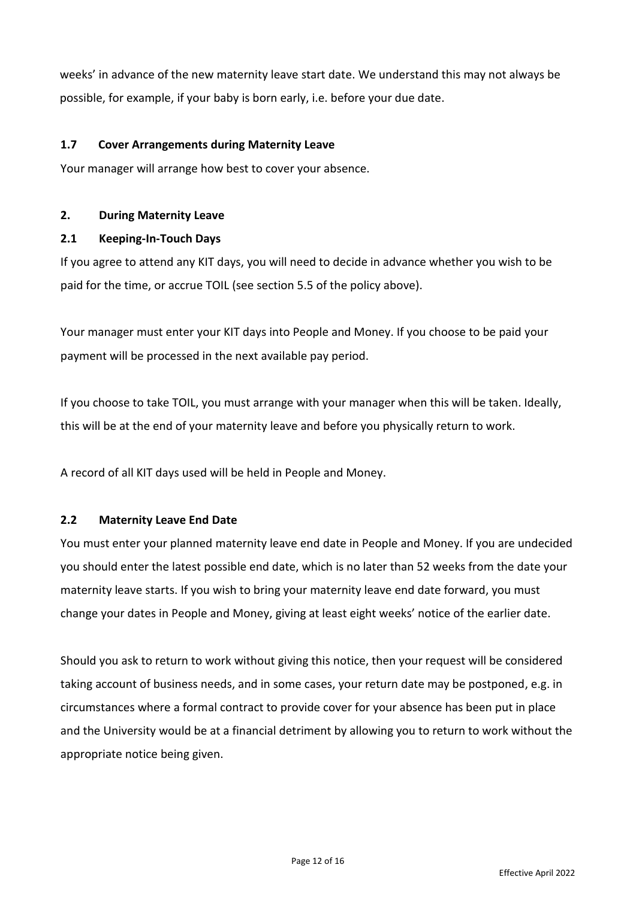weeks' in advance of the new maternity leave start date. We understand this may not always be possible, for example, if your baby is born early, i.e. before your due date.

### **1.7 Cover Arrangements during Maternity Leave**

Your manager will arrange how best to cover your absence.

### **2. During Maternity Leave**

### **2.1 Keeping-In-Touch Days**

If you agree to attend any KIT days, you will need to decide in advance whether you wish to be paid for the time, or accrue TOIL (see section 5.5 of the policy above).

Your manager must enter your KIT days into People and Money. If you choose to be paid your payment will be processed in the next available pay period.

If you choose to take TOIL, you must arrange with your manager when this will be taken. Ideally, this will be at the end of your maternity leave and before you physically return to work.

A record of all KIT days used will be held in People and Money.

#### **2.2 Maternity Leave End Date**

You must enter your planned maternity leave end date in People and Money. If you are undecided you should enter the latest possible end date, which is no later than 52 weeks from the date your maternity leave starts. If you wish to bring your maternity leave end date forward, you must change your dates in People and Money, giving at least eight weeks' notice of the earlier date.

Should you ask to return to work without giving this notice, then your request will be considered taking account of business needs, and in some cases, your return date may be postponed, e.g. in circumstances where a formal contract to provide cover for your absence has been put in place and the University would be at a financial detriment by allowing you to return to work without the appropriate notice being given.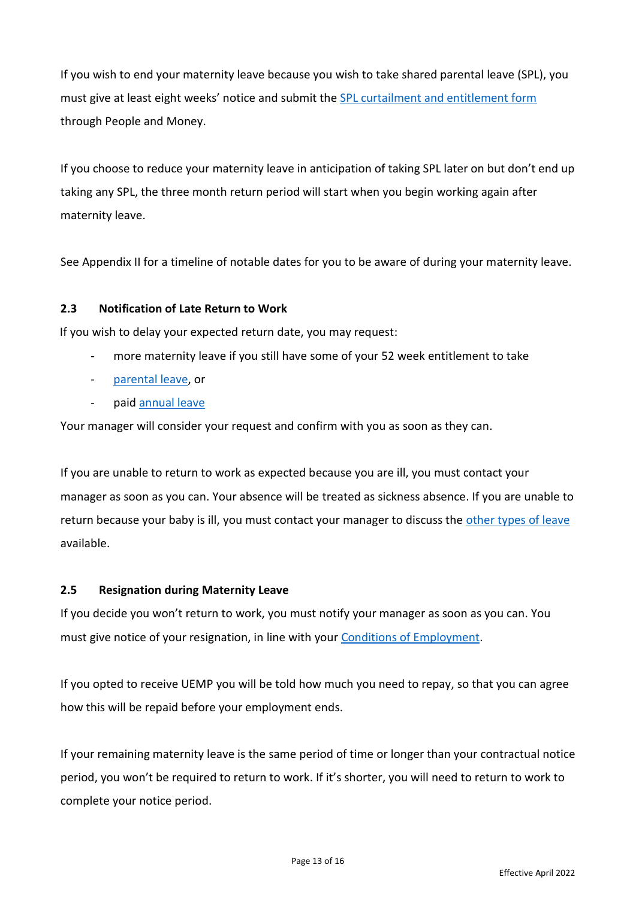If you wish to end your maternity leave because you wish to take shared parental leave (SPL), you must give at least eight weeks' notice and submit the **SPL** curtailment and entitlement form through People and Money.

If you choose to reduce your maternity leave in anticipation of taking SPL later on but don't end up taking any SPL, the three month return period will start when you begin working again after maternity leave.

See Appendix II for a timeline of notable dates for you to be aware of during your maternity leave.

# **2.3 Notification of Late Return to Work**

If you wish to delay your expected return date, you may request:

- more maternity leave if you still have some of your 52 week entitlement to take
- [parental leave,](https://www.ed.ac.uk/human-resources/policies-guidance/a-to-z-of-policies-and-guidance) or
- paid [annual leave](https://www.edweb.ed.ac.uk/human-resources/policies-guidance/a-to-z-of-policies-and-guidance)

Your manager will consider your request and confirm with you as soon as they can.

If you are unable to return to work as expected because you are ill, you must contact your manager as soon as you can. Your absence will be treated as sickness absence. If you are unable to return because your baby is ill, you must contact your manager to discuss the [other types of leave](https://www.ed.ac.uk/human-resources/policies-guidance/a-to-z-of-policies-and-guidance) available.

# **2.5 Resignation during Maternity Leave**

If you decide you won't return to work, you must notify your manager as soon as you can. You must give notice of your resignation, in line with your [Conditions of Employment.](https://www.ed.ac.uk/human-resources/policies-guidance/conditions-service)

If you opted to receive UEMP you will be told how much you need to repay, so that you can agree how this will be repaid before your employment ends.

If your remaining maternity leave is the same period of time or longer than your contractual notice period, you won't be required to return to work. If it's shorter, you will need to return to work to complete your notice period.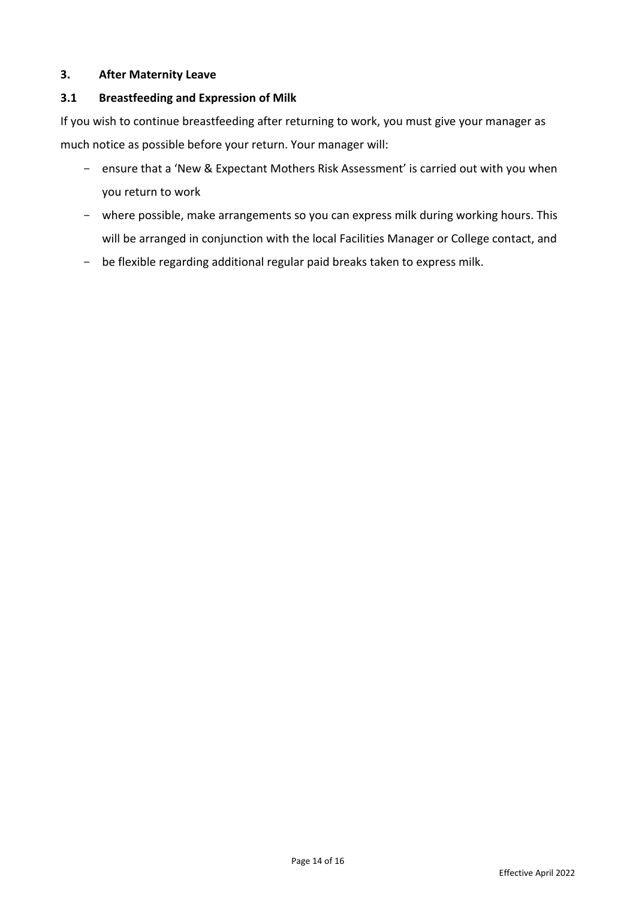## **3. After Maternity Leave**

#### **3.1 Breastfeeding and Expression of Milk**

If you wish to continue breastfeeding after returning to work, you must give your manager as much notice as possible before your return. Your manager will:

- ensure that a 'New & Expectant Mothers Risk Assessment' is carried out with you when you return to work
- where possible, make arrangements so you can express milk during working hours. This will be arranged in conjunction with the local Facilities Manager or College contact, and
- be flexible regarding additional regular paid breaks taken to express milk.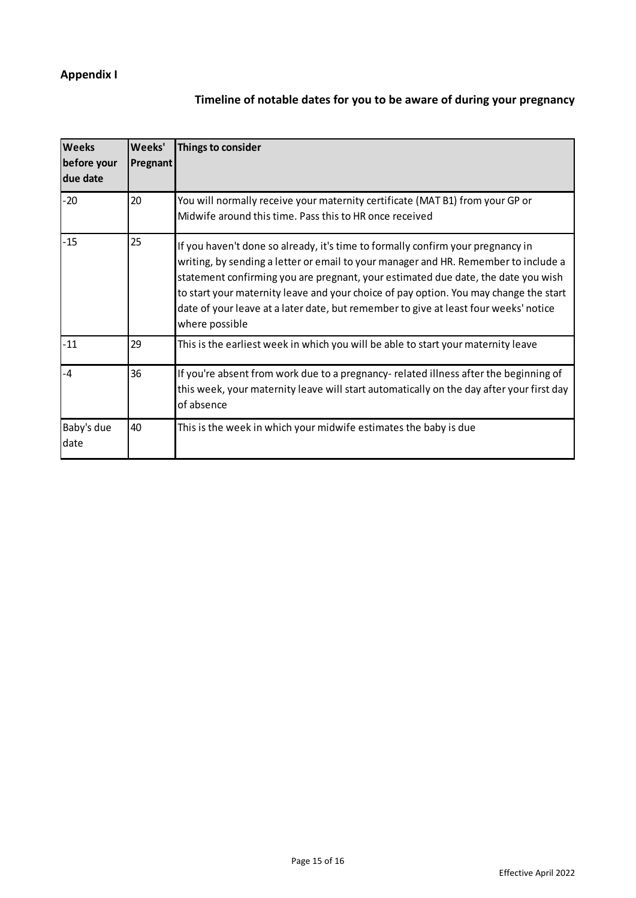# **Appendix I**

# **Timeline of notable dates for you to be aware of during your pregnancy**

| <b>Weeks</b><br>before your<br>due date | Weeks'<br><b>Pregnant</b> | Things to consider                                                                                                                                                                                                                                                                                                                                                                                                                                             |
|-----------------------------------------|---------------------------|----------------------------------------------------------------------------------------------------------------------------------------------------------------------------------------------------------------------------------------------------------------------------------------------------------------------------------------------------------------------------------------------------------------------------------------------------------------|
| $-20$                                   | 20                        | You will normally receive your maternity certificate (MAT B1) from your GP or<br>Midwife around this time. Pass this to HR once received                                                                                                                                                                                                                                                                                                                       |
| $-15$                                   | 25                        | If you haven't done so already, it's time to formally confirm your pregnancy in<br>writing, by sending a letter or email to your manager and HR. Remember to include a<br>statement confirming you are pregnant, your estimated due date, the date you wish<br>to start your maternity leave and your choice of pay option. You may change the start<br>date of your leave at a later date, but remember to give at least four weeks' notice<br>where possible |
| $-11$                                   | 29                        | This is the earliest week in which you will be able to start your maternity leave                                                                                                                                                                                                                                                                                                                                                                              |
| -4                                      | 36                        | If you're absent from work due to a pregnancy- related illness after the beginning of<br>this week, your maternity leave will start automatically on the day after your first day<br>of absence                                                                                                                                                                                                                                                                |
| Baby's due<br>date                      | 40                        | This is the week in which your midwife estimates the baby is due                                                                                                                                                                                                                                                                                                                                                                                               |